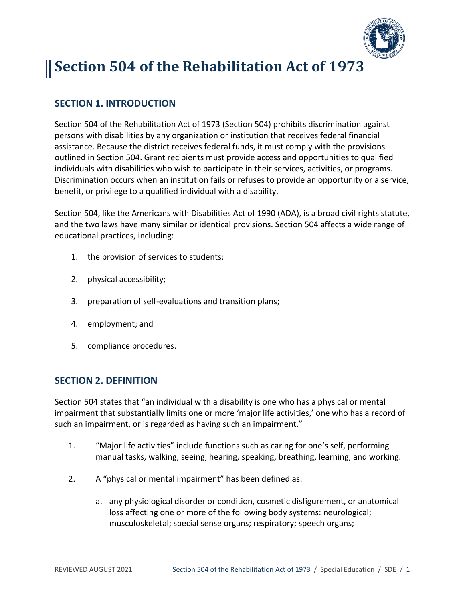

# **Section 504 of the Rehabilitation Act of 1973**

## **SECTION 1. INTRODUCTION**

Section 504 of the Rehabilitation Act of 1973 (Section 504) prohibits discrimination against persons with disabilities by any organization or institution that receives federal financial assistance. Because the district receives federal funds, it must comply with the provisions outlined in Section 504. Grant recipients must provide access and opportunities to qualified individuals with disabilities who wish to participate in their services, activities, or programs. Discrimination occurs when an institution fails or refuses to provide an opportunity or a service, benefit, or privilege to a qualified individual with a disability.

Section 504, like the Americans with Disabilities Act of 1990 (ADA), is a broad civil rights statute, and the two laws have many similar or identical provisions. Section 504 affects a wide range of educational practices, including:

- 1. the provision of services to students;
- 2. physical accessibility;
- 3. preparation of self-evaluations and transition plans;
- 4. employment; and
- 5. compliance procedures.

#### **SECTION 2. DEFINITION**

Section 504 states that "an individual with a disability is one who has a physical or mental impairment that substantially limits one or more 'major life activities,' one who has a record of such an impairment, or is regarded as having such an impairment."

- 1. "Major life activities" include functions such as caring for one's self, performing manual tasks, walking, seeing, hearing, speaking, breathing, learning, and working.
- 2. A "physical or mental impairment" has been defined as:
	- a. any physiological disorder or condition, cosmetic disfigurement, or anatomical loss affecting one or more of the following body systems: neurological; musculoskeletal; special sense organs; respiratory; speech organs;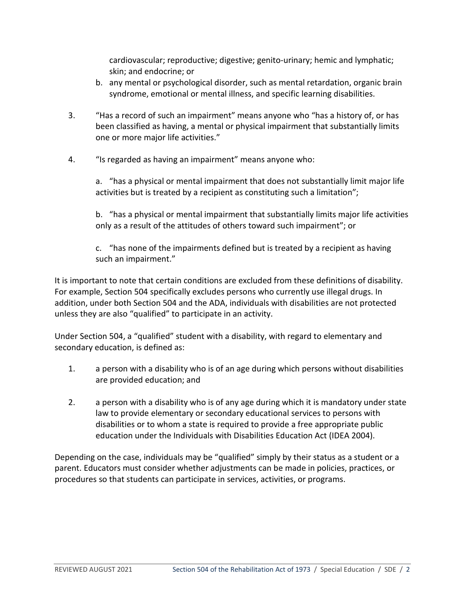cardiovascular; reproductive; digestive; genito-urinary; hemic and lymphatic; skin; and endocrine; or

- b. any mental or psychological disorder, such as mental retardation, organic brain syndrome, emotional or mental illness, and specific learning disabilities.
- 3. "Has a record of such an impairment" means anyone who "has a history of, or has been classified as having, a mental or physical impairment that substantially limits one or more major life activities."
- 4. "Is regarded as having an impairment" means anyone who:

a. "has a physical or mental impairment that does not substantially limit major life activities but is treated by a recipient as constituting such a limitation";

b. "has a physical or mental impairment that substantially limits major life activities only as a result of the attitudes of others toward such impairment"; or

c. "has none of the impairments defined but is treated by a recipient as having such an impairment."

It is important to note that certain conditions are excluded from these definitions of disability. For example, Section 504 specifically excludes persons who currently use illegal drugs. In addition, under both Section 504 and the ADA, individuals with disabilities are not protected unless they are also "qualified" to participate in an activity.

Under Section 504, a "qualified" student with a disability, with regard to elementary and secondary education, is defined as:

- 1. a person with a disability who is of an age during which persons without disabilities are provided education; and
- 2. a person with a disability who is of any age during which it is mandatory under state law to provide elementary or secondary educational services to persons with disabilities or to whom a state is required to provide a free appropriate public education under the Individuals with Disabilities Education Act (IDEA 2004).

Depending on the case, individuals may be "qualified" simply by their status as a student or a parent. Educators must consider whether adjustments can be made in policies, practices, or procedures so that students can participate in services, activities, or programs.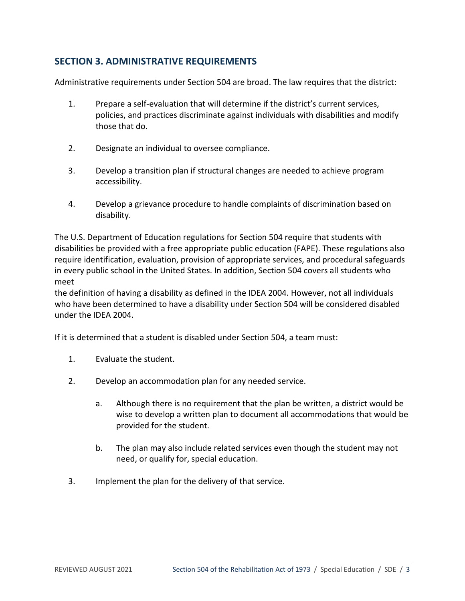### **SECTION 3. ADMINISTRATIVE REQUIREMENTS**

Administrative requirements under Section 504 are broad. The law requires that the district:

- 1. Prepare a self-evaluation that will determine if the district's current services, policies, and practices discriminate against individuals with disabilities and modify those that do.
- 2. Designate an individual to oversee compliance.
- 3. Develop a transition plan if structural changes are needed to achieve program accessibility.
- 4. Develop a grievance procedure to handle complaints of discrimination based on disability.

The U.S. Department of Education regulations for Section 504 require that students with disabilities be provided with a free appropriate public education (FAPE). These regulations also require identification, evaluation, provision of appropriate services, and procedural safeguards in every public school in the United States. In addition, Section 504 covers all students who meet

the definition of having a disability as defined in the IDEA 2004. However, not all individuals who have been determined to have a disability under Section 504 will be considered disabled under the IDEA 2004.

If it is determined that a student is disabled under Section 504, a team must:

- 1. Evaluate the student.
- 2. Develop an accommodation plan for any needed service.
	- a. Although there is no requirement that the plan be written, a district would be wise to develop a written plan to document all accommodations that would be provided for the student.
	- b. The plan may also include related services even though the student may not need, or qualify for, special education.
- 3. Implement the plan for the delivery of that service.